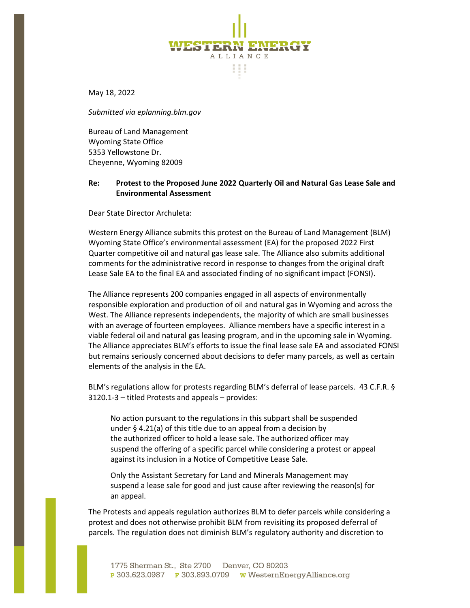May 18, 2022

*Submitted via eplanning.blm.gov*

Bureau of Land Management Wyoming State Office 5353 Yellowstone Dr. Cheyenne, Wyoming 82009

# **Re: Protest to the Proposed June 2022 Quarterly Oil and Natural Gas Lease Sale and Environmental Assessment**

ST P.F

ALLIANCE 88

Dear State Director Archuleta:

Western Energy Alliance submits this protest on the Bureau of Land Management (BLM) Wyoming State Office's environmental assessment (EA) for the proposed 2022 First Quarter competitive oil and natural gas lease sale. The Alliance also submits additional comments for the administrative record in response to changes from the original draft Lease Sale EA to the final EA and associated finding of no significant impact (FONSI).

The Alliance represents 200 companies engaged in all aspects of environmentally responsible exploration and production of oil and natural gas in Wyoming and across the West. The Alliance represents independents, the majority of which are small businesses with an average of fourteen employees. Alliance members have a specific interest in a viable federal oil and natural gas leasing program, and in the upcoming sale in Wyoming. The Alliance appreciates BLM's efforts to issue the final lease sale EA and associated FONSI but remains seriously concerned about decisions to defer many parcels, as well as certain elements of the analysis in the EA.

BLM's regulations allow for protests regarding BLM's deferral of lease parcels. 43 C.F.R. § 3120.1-3 – titled Protests and appeals – provides:

No action pursuant to the regulations in this subpart shall be suspended under [§ 4.21\(a\)](https://www.law.cornell.edu/cfr/text/43/4.21#a) of this title due to an appeal from a decision by the [authorized officer](https://www.law.cornell.edu/definitions/index.php?width=840&height=800&iframe=true&def_id=49df758b3d7d379904895a81c031391f&term_occur=999&term_src=Title:43:Subtitle:B:Chapter:II:Subchapter:C:Part:3120:Subpart:3120:3120.1-3) to hold a lease sale. The [authorized officer](https://www.law.cornell.edu/definitions/index.php?width=840&height=800&iframe=true&def_id=49df758b3d7d379904895a81c031391f&term_occur=999&term_src=Title:43:Subtitle:B:Chapter:II:Subchapter:C:Part:3120:Subpart:3120:3120.1-3) may suspend the offering of a specific parcel while considering a protest or appeal against its inclusion in a Notice of Competitive Lease Sale.

Only the Assistant Secretary for Land and Minerals Management may suspend a lease sale for good and just cause after reviewing the reason(s) for an appeal.

The Protests and appeals regulation authorizes BLM to defer parcels while considering a protest and does not otherwise prohibit BLM from revisiting its proposed deferral of parcels. The regulation does not diminish BLM's regulatory authority and discretion to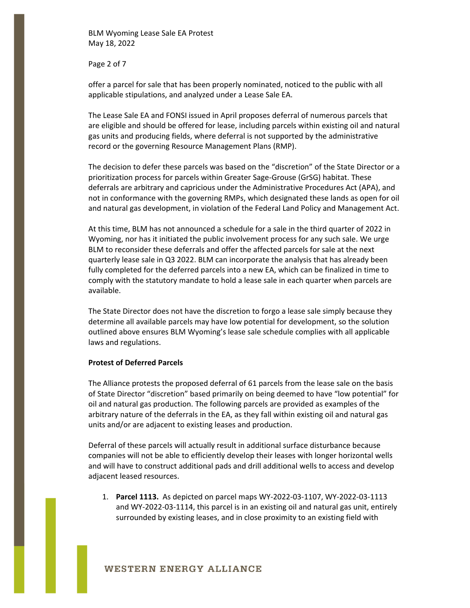Page 2 of 7

offer a parcel for sale that has been properly nominated, noticed to the public with all applicable stipulations, and analyzed under a Lease Sale EA.

The Lease Sale EA and FONSI issued in April proposes deferral of numerous parcels that are eligible and should be offered for lease, including parcels within existing oil and natural gas units and producing fields, where deferral is not supported by the administrative record or the governing Resource Management Plans (RMP).

The decision to defer these parcels was based on the "discretion" of the State Director or a prioritization process for parcels within Greater Sage-Grouse (GrSG) habitat. These deferrals are arbitrary and capricious under the Administrative Procedures Act (APA), and not in conformance with the governing RMPs, which designated these lands as open for oil and natural gas development, in violation of the Federal Land Policy and Management Act.

At this time, BLM has not announced a schedule for a sale in the third quarter of 2022 in Wyoming, nor has it initiated the public involvement process for any such sale. We urge BLM to reconsider these deferrals and offer the affected parcels for sale at the next quarterly lease sale in Q3 2022. BLM can incorporate the analysis that has already been fully completed for the deferred parcels into a new EA, which can be finalized in time to comply with the statutory mandate to hold a lease sale in each quarter when parcels are available.

The State Director does not have the discretion to forgo a lease sale simply because they determine all available parcels may have low potential for development, so the solution outlined above ensures BLM Wyoming's lease sale schedule complies with all applicable laws and regulations.

### **Protest of Deferred Parcels**

The Alliance protests the proposed deferral of 61 parcels from the lease sale on the basis of State Director "discretion" based primarily on being deemed to have "low potential" for oil and natural gas production. The following parcels are provided as examples of the arbitrary nature of the deferrals in the EA, as they fall within existing oil and natural gas units and/or are adjacent to existing leases and production.

Deferral of these parcels will actually result in additional surface disturbance because companies will not be able to efficiently develop their leases with longer horizontal wells and will have to construct additional pads and drill additional wells to access and develop adjacent leased resources.

1. **Parcel 1113.** As depicted on parcel maps WY-2022-03-1107, WY-2022-03-1113 and WY-2022-03-1114, this parcel is in an existing oil and natural gas unit, entirely surrounded by existing leases, and in close proximity to an existing field with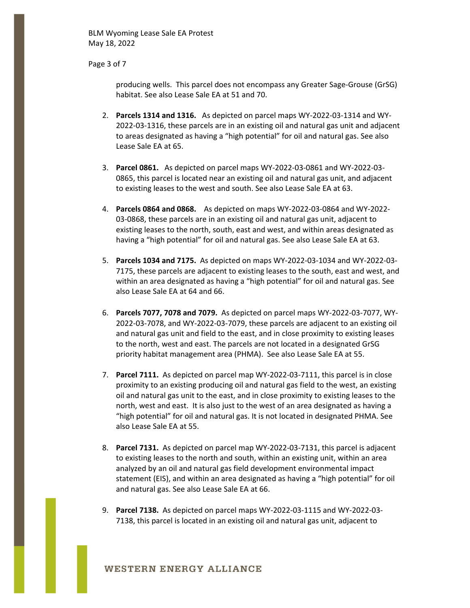Page 3 of 7

producing wells. This parcel does not encompass any Greater Sage-Grouse (GrSG) habitat. See also Lease Sale EA at 51 and 70.

- 2. **Parcels 1314 and 1316.** As depicted on parcel maps WY-2022-03-1314 and WY-2022-03-1316, these parcels are in an existing oil and natural gas unit and adjacent to areas designated as having a "high potential" for oil and natural gas. See also Lease Sale EA at 65.
- 3. **Parcel 0861.** As depicted on parcel maps WY-2022-03-0861 and WY-2022-03- 0865, this parcel is located near an existing oil and natural gas unit, and adjacent to existing leases to the west and south. See also Lease Sale EA at 63.
- 4. **Parcels 0864 and 0868.** As depicted on maps WY-2022-03-0864 and WY-2022- 03-0868, these parcels are in an existing oil and natural gas unit, adjacent to existing leases to the north, south, east and west, and within areas designated as having a "high potential" for oil and natural gas. See also Lease Sale EA at 63.
- 5. **Parcels 1034 and 7175.** As depicted on maps WY-2022-03-1034 and WY-2022-03- 7175, these parcels are adjacent to existing leases to the south, east and west, and within an area designated as having a "high potential" for oil and natural gas. See also Lease Sale EA at 64 and 66.
- 6. **Parcels 7077, 7078 and 7079.** As depicted on parcel maps WY-2022-03-7077, WY-2022-03-7078, and WY-2022-03-7079, these parcels are adjacent to an existing oil and natural gas unit and field to the east, and in close proximity to existing leases to the north, west and east. The parcels are not located in a designated GrSG priority habitat management area (PHMA). See also Lease Sale EA at 55.
- 7. **Parcel 7111.** As depicted on parcel map WY-2022-03-7111, this parcel is in close proximity to an existing producing oil and natural gas field to the west, an existing oil and natural gas unit to the east, and in close proximity to existing leases to the north, west and east. It is also just to the west of an area designated as having a "high potential" for oil and natural gas. It is not located in designated PHMA. See also Lease Sale EA at 55.
- 8. **Parcel 7131.** As depicted on parcel map WY-2022-03-7131, this parcel is adjacent to existing leases to the north and south, within an existing unit, within an area analyzed by an oil and natural gas field development environmental impact statement (EIS), and within an area designated as having a "high potential" for oil and natural gas. See also Lease Sale EA at 66.
- 9. **Parcel 7138.** As depicted on parcel maps WY-2022-03-1115 and WY-2022-03- 7138, this parcel is located in an existing oil and natural gas unit, adjacent to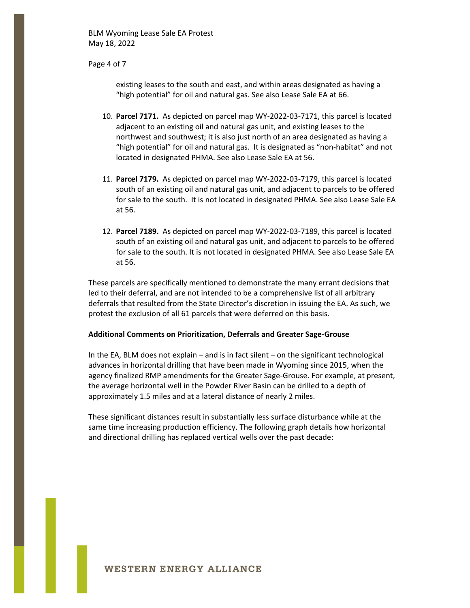Page 4 of 7

existing leases to the south and east, and within areas designated as having a "high potential" for oil and natural gas. See also Lease Sale EA at 66.

- 10. **Parcel 7171.** As depicted on parcel map WY-2022-03-7171, this parcel is located adjacent to an existing oil and natural gas unit, and existing leases to the northwest and southwest; it is also just north of an area designated as having a "high potential" for oil and natural gas. It is designated as "non-habitat" and not located in designated PHMA. See also Lease Sale EA at 56.
- 11. **Parcel 7179.** As depicted on parcel map WY-2022-03-7179, this parcel is located south of an existing oil and natural gas unit, and adjacent to parcels to be offered for sale to the south. It is not located in designated PHMA. See also Lease Sale EA at 56.
- 12. **Parcel 7189.** As depicted on parcel map WY-2022-03-7189, this parcel is located south of an existing oil and natural gas unit, and adjacent to parcels to be offered for sale to the south. It is not located in designated PHMA. See also Lease Sale EA at 56.

These parcels are specifically mentioned to demonstrate the many errant decisions that led to their deferral, and are not intended to be a comprehensive list of all arbitrary deferrals that resulted from the State Director's discretion in issuing the EA. As such, we protest the exclusion of all 61 parcels that were deferred on this basis.

#### **Additional Comments on Prioritization, Deferrals and Greater Sage-Grouse**

In the EA, BLM does not explain – and is in fact silent – on the significant technological advances in horizontal drilling that have been made in Wyoming since 2015, when the agency finalized RMP amendments for the Greater Sage-Grouse. For example, at present, the average horizontal well in the Powder River Basin can be drilled to a depth of approximately 1.5 miles and at a lateral distance of nearly 2 miles.

These significant distances result in substantially less surface disturbance while at the same time increasing production efficiency. The following graph details how horizontal and directional drilling has replaced vertical wells over the past decade: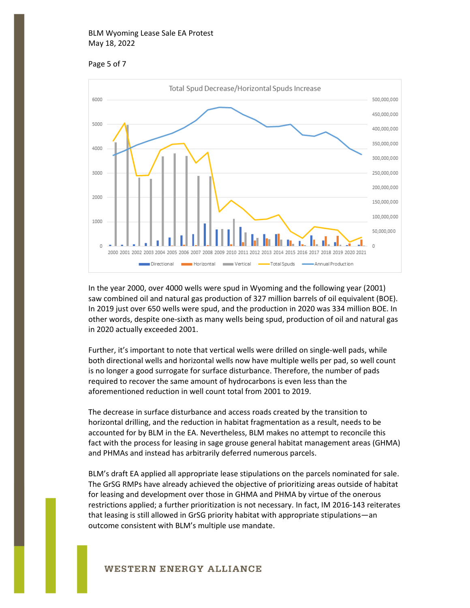



In the year 2000, over 4000 wells were spud in Wyoming and the following year (2001) saw combined oil and natural gas production of 327 million barrels of oil equivalent (BOE). In 2019 just over 650 wells were spud, and the production in 2020 was 334 million BOE. In other words, despite one-sixth as many wells being spud, production of oil and natural gas in 2020 actually exceeded 2001.

Further, it's important to note that vertical wells were drilled on single-well pads, while both directional wells and horizontal wells now have multiple wells per pad, so well count is no longer a good surrogate for surface disturbance. Therefore, the number of pads required to recover the same amount of hydrocarbons is even less than the aforementioned reduction in well count total from 2001 to 2019.

The decrease in surface disturbance and access roads created by the transition to horizontal drilling, and the reduction in habitat fragmentation as a result, needs to be accounted for by BLM in the EA. Nevertheless, BLM makes no attempt to reconcile this fact with the process for leasing in sage grouse general habitat management areas (GHMA) and PHMAs and instead has arbitrarily deferred numerous parcels.

BLM's draft EA applied all appropriate lease stipulations on the parcels nominated for sale. The GrSG RMPs have already achieved the objective of prioritizing areas outside of habitat for leasing and development over those in GHMA and PHMA by virtue of the onerous restrictions applied; a further prioritization is not necessary. In fact, IM 2016-143 reiterates that leasing is still allowed in GrSG priority habitat with appropriate stipulations—an outcome consistent with BLM's multiple use mandate.

# **WESTERN ENERGY ALLIANCE**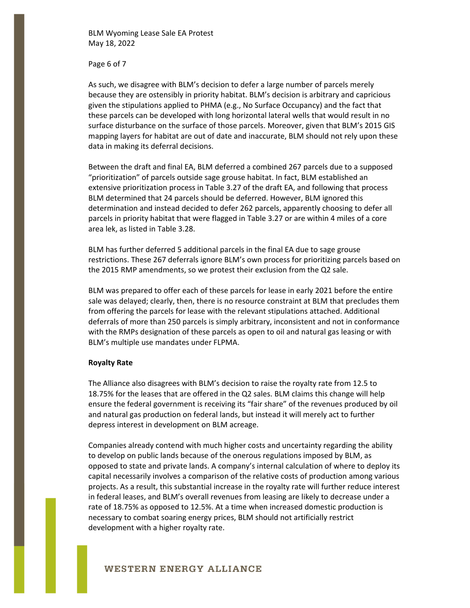Page 6 of 7

As such, we disagree with BLM's decision to defer a large number of parcels merely because they are ostensibly in priority habitat. BLM's decision is arbitrary and capricious given the stipulations applied to PHMA (e.g., No Surface Occupancy) and the fact that these parcels can be developed with long horizontal lateral wells that would result in no surface disturbance on the surface of those parcels. Moreover, given that BLM's 2015 GIS mapping layers for habitat are out of date and inaccurate, BLM should not rely upon these data in making its deferral decisions.

Between the draft and final EA, BLM deferred a combined 267 parcels due to a supposed "prioritization" of parcels outside sage grouse habitat. In fact, BLM established an extensive prioritization process in Table 3.27 of the draft EA, and following that process BLM determined that 24 parcels should be deferred. However, BLM ignored this determination and instead decided to defer 262 parcels, apparently choosing to defer all parcels in priority habitat that were flagged in Table 3.27 or are within 4 miles of a core area lek, as listed in Table 3.28.

BLM has further deferred 5 additional parcels in the final EA due to sage grouse restrictions. These 267 deferrals ignore BLM's own process for prioritizing parcels based on the 2015 RMP amendments, so we protest their exclusion from the Q2 sale.

BLM was prepared to offer each of these parcels for lease in early 2021 before the entire sale was delayed; clearly, then, there is no resource constraint at BLM that precludes them from offering the parcels for lease with the relevant stipulations attached. Additional deferrals of more than 250 parcels is simply arbitrary, inconsistent and not in conformance with the RMPs designation of these parcels as open to oil and natural gas leasing or with BLM's multiple use mandates under FLPMA.

### **Royalty Rate**

The Alliance also disagrees with BLM's decision to raise the royalty rate from 12.5 to 18.75% for the leases that are offered in the Q2 sales. BLM claims this change will help ensure the federal government is receiving its "fair share" of the revenues produced by oil and natural gas production on federal lands, but instead it will merely act to further depress interest in development on BLM acreage.

Companies already contend with much higher costs and uncertainty regarding the ability to develop on public lands because of the onerous regulations imposed by BLM, as opposed to state and private lands. A company's internal calculation of where to deploy its capital necessarily involves a comparison of the relative costs of production among various projects. As a result, this substantial increase in the royalty rate will further reduce interest in federal leases, and BLM's overall revenues from leasing are likely to decrease under a rate of 18.75% as opposed to 12.5%. At a time when increased domestic production is necessary to combat soaring energy prices, BLM should not artificially restrict development with a higher royalty rate.

## **WESTERN ENERGY ALLIANCE**